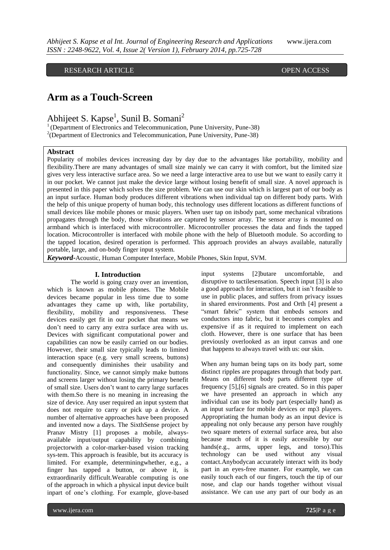## RESEARCH ARTICLE **OPEN ACCESS**

# **Arm as a Touch-Screen**

Abhijeet S. Kapse<sup>1</sup>, Sunil B. Somani<sup>2</sup>

 $1$ <sup>1</sup> (Department of Electronics and Telecommunication, Pune University, Pune-38) <sup>2</sup>(Department of Electronics and Telecommunication, Pune University, Pune-38)

#### **Abstract**

Popularity of mobiles devices increasing day by day due to the advantages like portability, mobility and flexibility.There are many advantages of small size mainly we can carry it with comfort, but the limited size gives very less interactive surface area. So we need a large interactive area to use but we want to easily carry it in our pocket. We cannot just make the device large without losing benefit of small size. A novel approach is presented in this paper which solves the size problem. We can use our skin which is largest part of our body as an input surface. Human body produces different vibrations when individual tap on different body parts. With the help of this unique property of human body, this technology uses different locations as different functions of small devices like mobile phones or music players. When user tap on itsbody part, some mechanical vibrations propagates through the body, those vibrations are captured by sensor array. The sensor array is mounted on armband which is interfaced with microcontroller. Microcontroller processes the data and finds the tapped location. Microcontroller is interfaced with mobile phone with the help of Bluetooth module. So according to the tapped location, desired operation is performed. This approach provides an always available, naturally portable, large, and on-body finger input system.

*Keyword***-**Acoustic, Human Computer Interface, Mobile Phones, Skin Input, SVM.

#### **I. Introduction**

The world is going crazy over an invention, which is known as mobile phones. The Mobile devices became popular in less time due to some advantages they came up with, like portability, flexibility, mobility and responsiveness. These devices easily get fit in our pocket that means we don't need to carry any extra surface area with us. Devices with significant computational power and capabilities can now be easily carried on our bodies. However, their small size typically leads to limited interaction space (e.g. very small screens, buttons) and consequently diminishes their usability and functionality. Since, we cannot simply make buttons and screens larger without losing the primary benefit of small size. Users don't want to carry large surfaces with them.So there is no meaning in increasing the size of device. Any user required an input system that does not require to carry or pick up a device. A number of alternative approaches have been proposed and invented now a days. The SixthSense project by Pranav Mistry [1] proposes a mobile, alwaysavailable input/output capability by combining projectorwith a color-marker-based vision tracking sys-tem. This approach is feasible, but its accuracy is limited. For example, determiningwhether, e.g., a finger has tapped a button, or above it, is extraordinarily difficult.Wearable computing is one of the approach in which a physical input device built inpart of one's clothing. For example, glove-based

input systems [2]butare uncomfortable, and disruptive to tactilesensation. Speech input [3] is also a good approach for interaction, but it isn't feasible to use in public places, and suffers from privacy issues in shared environments. Post and Orth [4] present a "smart fabric" system that embeds sensors and conductors into fabric, but it becomes complex and expensive if as it required to implement on each cloth. However, there is one surface that has been previously overlooked as an input canvas and one that happens to always travel with us: our skin.

When any human being taps on its body part, some distinct ripples are propagates through that body part. Means on different body parts different type of frequency [5],[6] signals are created. So in this paper we have presented an approach in which any individual can use its body part (especially hand) as an input surface for mobile devices or mp3 players. Appropriating the human body as an input device is appealing not only because any person have roughly two square meters of external surface area, but also because much of it is easily accessible by our hands(e.g., arms, upper legs, and torso).This technology can be used without any visual contact.Anybodycan accurately interact with its body part in an eyes-free manner. For example, we can easily touch each of our fingers, touch the tip of our nose, and clap our hands together without visual assistance. We can use any part of our body as an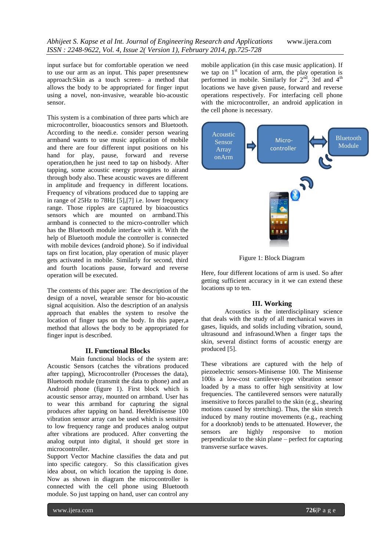input surface but for comfortable operation we need to use our arm as an input. This paper presentsnew approach:Skin as a touch screen– a method that allows the body to be appropriated for finger input using a novel, non-invasive, wearable bio-acoustic sensor.

This system is a combination of three parts which are microcontroller, bioacoustics sensors and Bluetooth. According to the needi.e. consider person wearing armband wants to use music application of mobile and there are four different input positions on his hand for play, pause, forward and reverse operation,then he just need to tap on hisbody. After tapping, some acoustic energy prorogates to airand through body also. These acoustic waves are different in amplitude and frequency in different locations. Frequency of vibrations produced due to tapping are in range of 25Hz to 78Hz [5],[7] i.e. lower frequency range. Those ripples are captured by bioacoustics sensors which are mounted on armband.This armband is connected to the micro-controller which has the Bluetooth module interface with it. With the help of Bluetooth module the controller is connected with mobile devices (android phone). So if individual taps on first location, play operation of music player gets activated in mobile. Similarly for second, third and fourth locations pause, forward and reverse operation will be executed.

The contents of this paper are: The description of the design of a novel, wearable sensor for bio-acoustic signal acquisition. Also the description of an analysis approach that enables the system to resolve the location of finger taps on the body. In this paper,a method that allows the body to be appropriated for finger input is described.

#### **II. Functional Blocks**

Main functional blocks of the system are: Acoustic Sensors (catches the vibrations produced after tapping), Microcontroller (Processes the data), Bluetooth module (transmit the data to phone) and an Android phone (figure 1). First block which is acoustic sensor array, mounted on armband. User has to wear this armband for capturing the signal produces after tapping on hand. HereMinisense 100 vibration sensor array can be used which is sensitive to low frequency range and produces analog output after vibrations are produced. After converting the analog output into digital, it should get store in microcontroller.

Support Vector Machine classifies the data and put into specific category. So this classification gives idea about, on which location the tapping is done. Now as shown in diagram the microcontroller is connected with the cell phone using Bluetooth module. So just tapping on hand, user can control any mobile application (in this case music application). If we tap on  $1<sup>st</sup>$  location of arm, the play operation is performed in mobile. Similarly for  $2<sup>nd</sup>$ , 3rd and  $4<sup>th</sup>$ locations we have given pause, forward and reverse operations respectively. For interfacing cell phone with the microcontroller, an android application in the cell phone is necessary.



Figure 1: Block Diagram

Here, four different locations of arm is used. So after getting sufficient accuracy in it we can extend these locations up to ten.

#### **III. Working**

Acoustics is the interdisciplinary science that deals with the study of all mechanical waves in gases, liquids, and solids including vibration, sound, ultrasound and infrasound.When a finger taps the skin, several distinct forms of acoustic energy are produced [5].

These vibrations are captured with the help of piezoelectric sensors-Minisense 100. The Minisense 100is a low-cost cantilever-type vibration sensor loaded by a mass to offer high sensitivity at low frequencies. The cantilevered sensors were naturally insensitive to forces parallel to the skin (e.g., shearing motions caused by stretching). Thus, the skin stretch induced by many routine movements (e.g., reaching for a doorknob) tends to be attenuated. However, the sensors are highly responsive to motion perpendicular to the skin plane – perfect for capturing transverse surface waves.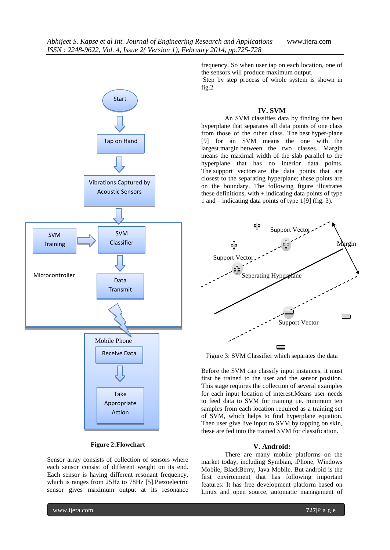

#### **Figure 2:Flowchart**

Sensor array consists of collection of sensors where each sensor consist of different weight on its end. Each sensor is having different resonant frequency, which is ranges from 25Hz to 78Hz [5].Piezoelectric sensor gives maximum output at its resonance frequency. So when user tap on each location, one of the sensors will produce maximum output.

Step by step process of whole system is shown in fig.2

## **IV. SVM**

An SVM classifies data by finding the best hyperplane that separates all data points of one class from those of the other class. The best hyper-plane [9] for an SVM means the one with the largest margin between the two classes. Margin means the maximal width of the slab parallel to the hyperplane that has no interior data points. The support vectors are the data points that are closest to the separating hyperplane; these points are on the boundary. The following figure illustrates these definitions, with  $+$  indicating data points of type 1 and – indicating data points of type 1[9] (fig. 3).



Figure 3: SVM Classifier which separates the data

Before the SVM can classify input instances, it must first be trained to the user and the sensor position. This stage requires the collection of several examples for each input location of interest.Means user needs to feed data to SVM for training i.e. minimum ten samples from each location required as a training set of SVM, which helps to find hyperplane equation. Then user give live input to SVM by tapping on skin, these are fed into the trained SVM for classification.

#### **V. Android:**

There are many mobile platforms on the market today, including Symbian, iPhone, Windows Mobile, BlackBerry, Java Mobile. But android is the first environment that has following important features: It has free development platform based on Linux and open source, automatic management of